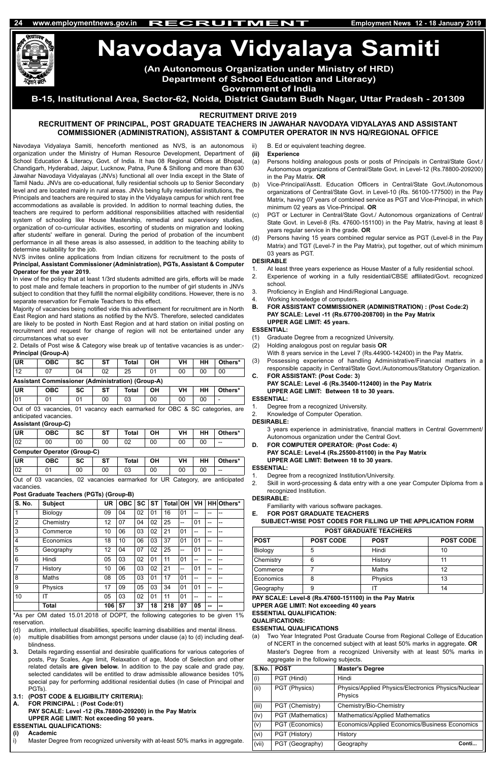Navodaya Vidyalaya Samiti, henceforth mentioned as NVS, is an autonomous organization under the Ministry of Human Resource Development, Department of School Education & Literacy, Govt. of India. It has 08 Regional Offices at Bhopal, Chandigarh, Hyderabad, Jaipur, Lucknow, Patna, Pune & Shillong and more than 630 Jawahar Navodaya Vidyalayas (JNVs) functional all over India except in the State of Tamil Nadu. JNVs are co-educational, fully residential schools up to Senior Secondary level and are located mainly in rural areas. JNVs being fully residential institutions, the Principals and teachers are required to stay in the Vidyalaya campus for which rent free accommodations as available is provided. In addition to normal teaching duties, the teachers are required to perform additional responsibilities attached with residential system of schooling like House Mastership, remedial and supervisory studies, organization of co-curricular activities, escorting of students on migration and Iooking after students' welfare in general. During the period of probation of the incumbent performance in all these areas is also assessed, in addition to the teaching ability to determine suitability for the job.

NVS invites online applications from Indian citizens for recruitment to the posts of **Principal, Assistant Commissioner (Administration), PGTs, Assistant & Computer Operator for the year 2019.**

armarked for UR vacancies.

In view of the policy that at least 1/3rd students admitted are girls, efforts will be made to post male and female teachers in proportion to the number of girl students in JNVs subject to condition that they fulfill the normal eligibility conditions. However, there is no separate reservation for Female Teachers to this effect.

Majority of vacancies being notified vide this advertisement for recruitment are in North East Region and hard stations as notified by the NVS. Therefore, selected candidates are likely to be posted in North East Region and at hard station on initial posting on recruitment and request for change of region will not be entertained under any circumstances what so ever

2. Details of Post wise & Category wise break up of tentative vacancies is as under:- **Principal (Group-A)**

| UR       | ОВС                                                      | SC | <b>ST</b> | Total | ΟH | VH | HН | Others* |  |  |
|----------|----------------------------------------------------------|----|-----------|-------|----|----|----|---------|--|--|
| $\Delta$ |                                                          | 04 |           | 25    |    | 00 |    | 00      |  |  |
|          | <b>Assistant Commissioner (Administration) (Group-A)</b> |    |           |       |    |    |    |         |  |  |

| <b>UR</b>    | ОВС | <b>SC</b> | <b>ST</b> | Total    | OН | VH | பப<br>пп | Others* |
|--------------|-----|-----------|-----------|----------|----|----|----------|---------|
| $\sim$<br>υı |     | ັ         | 00        | റാ<br>სა | 00 | 00 | 00       | -       |

Out of 03 vacancies, 01 vacancy each earmarked for OBC & SC categories, are anticipated vacancies.

# **Assistant (Group-C)**

| UR  | <b>OBC</b>                         | SC | <b>ST</b> | <b>Total</b> | ΟН  | VH   | нн      | Others* |  |  |  |
|-----|------------------------------------|----|-----------|--------------|-----|------|---------|---------|--|--|--|
| 02  | 00                                 | 00 | 00        |              | 00  | 00   | ОC      | $- -$   |  |  |  |
|     | <b>Computer Operator (Group-C)</b> |    |           |              |     |      |         |         |  |  |  |
| ___ |                                    |    |           |              | ___ | ____ | - - - - | $-$     |  |  |  |

| UR           | ОВС             | SC | cт | Total                                  |    | VH | нн | Others*         |
|--------------|-----------------|----|----|----------------------------------------|----|----|----|-----------------|
|              |                 |    | 00 | 03                                     | 00 |    |    | --              |
| $\bigcap$ ut | of 03 vacancies |    |    | 02 vacancies earmarked for UR Category |    |    |    | are anticinated |

#### **Post Graduate Teachers (PGTs) (Group-B)**

- Degree from a recognized University.
- 2. Knowledge of Computer Operation.

| <b>S. No.</b>  | <b>Subject</b> | UR  | <b>OBC</b> | <b>SC</b> | <b>ST</b> | <b>Total OH</b> |    | ∣VH. |    | HH Others* |
|----------------|----------------|-----|------------|-----------|-----------|-----------------|----|------|----|------------|
| 1              | Biology        | 09  | 04         | 02        | 01        | 16              | 01 | --   | -- | --         |
| $\overline{2}$ | Chemistry      | 12  | 07         | 04        | 02        | 25              | -- | 01   |    |            |
| 3              | Commerce       | 10  | 06         | 03        | 02        | 21              | 01 | --   | -- | --         |
| 4              | Economics      | 18  | 10         | 06        | 03        | 37              | 01 | 01   | -- | --         |
| 5              | Geography      | 12  | 04         | 07        | 02        | 25              | -- | 01   | -- | --         |
| 6              | Hindi          | 05  | 03         | 02        | 01        | 11              | 01 | --   | -- | --         |
| $\overline{7}$ | History        | 10  | 06         | 03        | 02        | 21              | -- | 01   |    | --         |
| 8              | Maths          | 08  | 05         | 03        | 01        | 17              | 01 | --   |    | --         |
| 9              | Physics        | 17  | 09         | 05        | 03        | 34              | 01 | 01   | -- | --         |
| 10             | ΙT             | 05  | 03         | 02        | 01        | 11              | 01 | --   | -- | --         |
|                | Total          | 106 | 57         | 37        | 18        | 218             | 07 | 05   |    |            |

- Familiarity with various software packages.
- **FOR POST GRADUATE TEACHERS**

\*As per OM dated 15.01.2018 of DOPT, the following categories to be given 1% reservation.

- (d) autism, intellectual disabilities, specific learning disabilities and mental illness.
- (e) multiple disabilities from amongst persons under clause (a) to (d) including deafblindness.
- **3.** Details regarding essential and desirable qualifications for various categories of posts, Pay Scales, Age limit, Relaxation of age, Mode of Selection and other related details **are given below.** In addition to the pay scale and grade pay, selected candidates will be entitled to draw admissible allowance besides 10% special pay for performing additional residential duties (In case of Principal and PGTs).
- **3.1: (POST CODE & ELIGIBILITY CRITERIA):**
- **A. FOR PRINCIPAL : (Post Code:01) PAY SCALE: Level -12 (Rs.78800-209200) in the Pay Matrix UPPER AGE LIMIT: Not exceeding 50 years.**
- **ESSENTIAL QUALIFICATIONS:**
- **(i) Academic**
- i) Master Degree from recognized university with at-least 50% marks in aggregate.
- ii) B. Ed or equivalent teaching degree.
- **(ii) Experience**
- (a) Persons holding analogous posts or posts of Principals in Central/State Govt./ Autonomous organizations of Central/State Govt. in Level-12 (Rs.78800-209200) in the Pay Matrix. **OR**
- (b) Vice-Principal/Asstt. Education Officers in Central/State Govt./Autonomous organizations of Central/State Govt. in Level-10 (Rs. 56100-177500) in the Pay Matrix, having 07 years of combined service as PGT and Vice-Principal, in which minimum 02 years as Vice-Principal. **OR**
- (c) PGT or Lecturer in Central/State Govt./ Autonomous organizations of Central/ State Govt. in Level-8 (Rs. 47600-151100) in the Pay Matrix, having at least 8 years regular service in the grade. **OR**
- (d) Persons having 15 years combined regular service as PGT (Level-8 in the Pay Matrix) and TGT (Level-7 in the Pay Matrix), put together, out of which minimum 03 years as PGT.

# **DESIRABLE**

- 1. At least three years experience as House Master of a fully residential school.
- 2. Experience of working in a fully residential/CBSE affiliated/Govt. recognized school.
- 3. Proficiency in English and Hindi/Regional Language.
- 4. Working knowledge of computers.
- **B. FOR ASSISTANT COMMISSIONER (ADMINISTRATION) : (Post Code:2) PAY SCALE: Level -11 (Rs.67700-208700) in the Pay Matrix UPPER AGE LIMIT: 45 years.**

# **ESSENTIAL:**

- (1) Graduate Degree from a recognized University.
- (2) Holding analogous post on regular basis **OR**
- With 8 years service in the Level 7 (Rs.44900-142400) in the Pay Matrix. (3) Possessing experience of handling Administrative/Financial matters in a
- responsible capacity in Central/State Govt./Autonomous/Statutory Organization. **C. FOR ASSISTANT: (Post Code: 3)**
	- **PAY SCALE: Level -6 (Rs.35400-112400) in the Pay Matrix UPPER AGE LIMIT: Between 18 to 30 years.**

# **ESSENTIAL:**

# **DESIRABLE:**

3 years experience in administrative, financial matters in Central Government/ Autonomous organization under the Central Govt.

**D. FOR COMPUTER OPERATOR: (Post Code: 4) PAY SCALE: Level-4 (Rs.25500-81100) in the Pay Matrix UPPER AGE LIMIT: Between 18 to 30 years.**

# **ESSENTIAL:**

- 1. Degree from a recognized Institution/University.
- 2. Skill in word-processing & data entry with a one year Computer Diploma from a recognized Institution.

#### **DESIRABLE:**

**SUBJECT-WISE POST CODES FOR FILLING UP THE APPLICATION FORM**

| <b>POST GRADUATE TEACHERS</b> |                  |             |                  |  |  |  |  |  |
|-------------------------------|------------------|-------------|------------------|--|--|--|--|--|
| <b>POST</b>                   | <b>POST CODE</b> | <b>POST</b> | <b>POST CODE</b> |  |  |  |  |  |
| Biology                       | 5                | Hindi       | 10               |  |  |  |  |  |
| Chemistry                     | 6                | History     | 11               |  |  |  |  |  |
| Commerce                      |                  | Maths       | 12               |  |  |  |  |  |
| Economics                     | 8                | Physics     | 13               |  |  |  |  |  |
| Geography                     | 9                | IΤ          | 14               |  |  |  |  |  |

**PAY SCALE: Level-8 (Rs.47600-151100) in the Pay Matrix**

#### **UPPER AGE LIMIT: Not exceeding 40 years ESSENTIAL QUALIFICATION:**

### **QUALIFICATIONS:**

### **ESSENTIAL QUALIFICATIONS**

(a) Two Year Integrated Post Graduate Course from Regional College of Education of NCERT in the concerned subject with at least 50% marks in aggregate. **OR** Master's Degree from a recognized University with at least 50% marks in aggregate in the following subjects.

# **Navodaya Vidyalaya Samiti**

| S.No. | <b>POST</b>       | <b>Master's Degree</b>                                         |
|-------|-------------------|----------------------------------------------------------------|
| (i)   | PGT (Hindi)       | Hindi                                                          |
| (ii)  | PGT (Physics)     | Physics/Applied Physics/Electronics Physics/Nuclear<br>Physics |
| (iii) | PGT (Chemistry)   | Chemistry/Bio-Chemistry                                        |
| (iv)  | PGT (Mathematics) | Mathematics/Applied Mathematics                                |
| (v)   | PGT (Economics)   | Economics/Applied Economics/Business Economics                 |
| (vi)  | PGT (History)     | History                                                        |
| (vii) | PGT (Geography)   | Geography<br>Conti                                             |

**(An Autonomous Organization under Ministry of HRD)** 

**Department of School Education and Literacy)**

**Government of India** 

**B-15, Institutional Area, Sector-62, Noida, District Gautam Budh Nagar, Uttar Pradesh - 201309**

# **RECRUITMENT DRIVE 2019**

# **RECRUITMENT OF PRINCIPAL, POST GRADUATE TEACHERS IN JAWAHAR NAVODAYA VIDYALAYAS AND ASSISTANT COMMISSIONER (ADMINISTRATION), ASSISTANT & COMPUTER OPERATOR IN NVS HQ/REGIONAL OFFICE**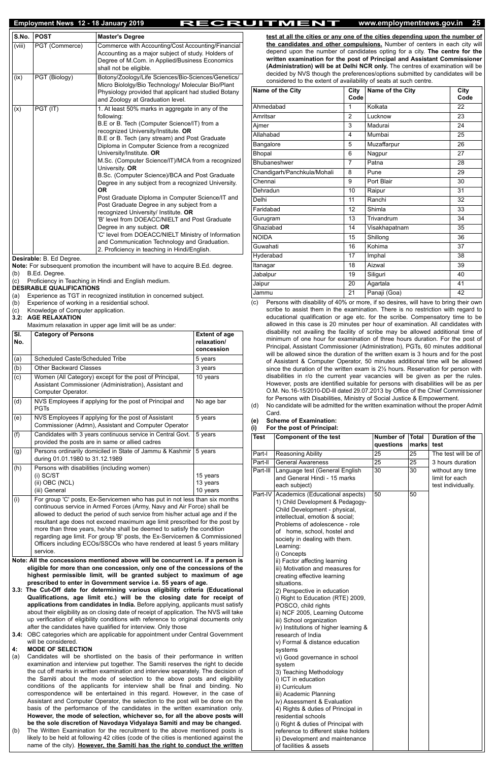# **Employment News 12 - 18 January 2019 RECRUITMENT www.employmentnews.gov.in <sup>25</sup>**

| S.No.  | <b>POST</b>    | <b>Master's Degree</b>                                                                                                                                                                                                                                                                                                                                                                                                                                                                                                                                                                                                                                                                                                                                                                                                                                         |
|--------|----------------|----------------------------------------------------------------------------------------------------------------------------------------------------------------------------------------------------------------------------------------------------------------------------------------------------------------------------------------------------------------------------------------------------------------------------------------------------------------------------------------------------------------------------------------------------------------------------------------------------------------------------------------------------------------------------------------------------------------------------------------------------------------------------------------------------------------------------------------------------------------|
| (viii) | PGT (Commerce) | Commerce with Accounting/Cost Accounting/Financial<br>Accounting as a major subject of study. Holders of<br>Degree of M.Com. in Applied/Business Economics<br>shall not be eligible.                                                                                                                                                                                                                                                                                                                                                                                                                                                                                                                                                                                                                                                                           |
| (ix)   | PGT (Biology)  | Botony/Zoology/Life Sciences/Bio-Sciences/Genetics/<br>Micro Biololgy/Bio Technology/ Molecular Bio/Plant<br>Physiology provided that applicant had studied Botany<br>and Zoology at Graduation level.                                                                                                                                                                                                                                                                                                                                                                                                                                                                                                                                                                                                                                                         |
| (x)    | PGT (IT)       | 1. At least 50% marks in aggregate in any of the<br>following:<br>B.E or B. Tech (Computer Science/IT) from a<br>recognized University/Institute. OR<br>B.E or B. Tech (any stream) and Post Graduate<br>Diploma in Computer Science from a recognized<br>University/Institute. OR<br>M.Sc. (Computer Science/IT)/MCA from a recognized<br>University. OR<br>B.Sc. (Computer Science)/BCA and Post Graduate<br>Degree in any subject from a recognized University.<br><b>OR</b><br>Post Graduate Diploma in Computer Science/IT and<br>Post Graduate Degree in any subject from a<br>recognized University/ Institute. OR<br>'B' level from DOEACC/NIELT and Post Graduate<br>Degree in any subject. OR<br>'C' level from DOEACC/NIELT Ministry of Information<br>and Communication Technology and Graduation.<br>2. Proficiency in teaching in Hindi/English. |

**Desirable:** B. Ed Degree.

**Note:** For subsequent promotion the incumbent will have to acquire B.Ed. degree. (b) B.Ed. Degree.

(c) Proficiency in Teaching in Hindi and English medium.

**DESIRABLE QUALIFICATIONS**

- (a) Experience as TGT in recognized institution in concerned subject.
- (b) Experience of working in a residential school.
- (c) Knowledge of Computer application.

**3.2: AGE RELAXATION**

Maximum relaxation in upper age limit will be as under:

| SI.<br>No. | <b>Category of Persons</b>                                                                                                                                                                                                                                                                                                                                                                                                                                                                                                                                             | <b>Extent of age</b><br>relaxation/<br>concession |  |  |  |  |  |
|------------|------------------------------------------------------------------------------------------------------------------------------------------------------------------------------------------------------------------------------------------------------------------------------------------------------------------------------------------------------------------------------------------------------------------------------------------------------------------------------------------------------------------------------------------------------------------------|---------------------------------------------------|--|--|--|--|--|
| (a)        | Scheduled Caste/Scheduled Tribe                                                                                                                                                                                                                                                                                                                                                                                                                                                                                                                                        | 5 years                                           |  |  |  |  |  |
| (b)        | <b>Other Backward Classes</b>                                                                                                                                                                                                                                                                                                                                                                                                                                                                                                                                          | 3 years                                           |  |  |  |  |  |
| (c)        | Women (All Category) except for the post of Principal,<br>Assistant Commissioner (Administration), Assistant and<br>Computer Operator.                                                                                                                                                                                                                                                                                                                                                                                                                                 | 10 years                                          |  |  |  |  |  |
| (d)        | NVS Employees if applying for the post of Principal and<br><b>PGTs</b>                                                                                                                                                                                                                                                                                                                                                                                                                                                                                                 | No age bar                                        |  |  |  |  |  |
| (e)        | NVS Employees if applying for the post of Assistant<br>Commissioner (Admn), Assistant and Computer Operator                                                                                                                                                                                                                                                                                                                                                                                                                                                            | 5 years                                           |  |  |  |  |  |
| (f)        | Candidates with 3 years continuous service in Central Govt.<br>provided the posts are in same or allied cadres                                                                                                                                                                                                                                                                                                                                                                                                                                                         | 5 years                                           |  |  |  |  |  |
| (g)        | Persons ordinarily domiciled in State of Jammu & Kashmir<br>during 01.01.1980 to 31.12.1989                                                                                                                                                                                                                                                                                                                                                                                                                                                                            | 5 years                                           |  |  |  |  |  |
| (h)        | Persons with disabilities (including women)<br>$(i)$ SC/ST<br>(ii) OBC (NCL)<br>(iii) General                                                                                                                                                                                                                                                                                                                                                                                                                                                                          | 15 years<br>13 years<br>10 years                  |  |  |  |  |  |
| (i)        | For group 'C' posts, Ex-Servicemen who has put in not less than six months<br>continuous service in Armed Forces (Army, Navy and Air Force) shall be<br>allowed to deduct the period of such service from his/her actual age and if the<br>resultant age does not exceed maximum age limit prescribed for the post by<br>more than three years, he/she shall be deemed to satisfy the condition<br>regarding age limit. For group 'B' posts, the Ex-Servicemen & Commissioned<br>Officers including ECOs/SSCOs who have rendered at least 5 years military<br>service. |                                                   |  |  |  |  |  |
|            | Note: All the concessions mentioned above will be concurrent i.e. if a person is<br>eligible for more than one concession, only one of the concessions of the<br>highest permissible limit, will be granted subject to maximum of age<br>prescribed to enter in Government service i.e. 55 years of age.<br>3.3: The Cut-Off date for determining various eligibility criteria (Educational                                                                                                                                                                            |                                                   |  |  |  |  |  |

Persons with disability of 40% or more, if so desires, will have to bring their own scribe to assist them in the examination. There is no restriction with regard to educational qualification or age etc. for the scribe. Compensatory time to be allowed in this case is 20 minutes per hour of examination. All candidates with disability not availing the facility of scribe may be allowed additional time of minimum of one hour for examination of three hours duration. For the post of Principal, Assistant Commissioner (Administration), PGTs, 60 minutes additional will be allowed since the duration of the written exam is 3 hours and for the post of Assistant & Computer Operator, 50 minutes additional time will be allowed since the duration of the written exam is 2½ hours. Reservation for person with disabilities in r/o the current year vacancies will be given as per the rules. However, posts are identified suitable for persons with disabilities will be as per O.M. No.16-15/2010-DD-lll dated 29.07.2013 by Office of the Chief Commissioner for Persons with Disabilities, Ministry of Social Justice & Empowerment.

**Qualifications, age limit etc.) will be the closing date for receipt of applications from candidates in India.** Before applying, applicants must satisfy about their eligibility as on closing date of receipt of application. The NVS will take up verification of eligibility conditions with reference to original documents only after the candidates have qualified for interview. Only those

- **3.4:** OBC categories which are applicable for appointment under Central Government will be considered.
- **4: MODE OF SELECTION**
- (a) Candidates will be shortlisted on the basis of their performance in written examination and interview put together. The Samiti reserves the right to decide the cut off marks in written examination and interview separately. The decision of the Samiti about the mode of selection to the above posts and eligibility conditions of the applicants for interview shall be final and binding. No correspondence will be entertained in this regard. However, in the case of Assistant and Computer Operator, the selection to the post will be done on the basis of the performance of the candidates in the written examination only. **However, the mode of selection, whichever so, for all the above posts will be the sole discretion of Navodaya Vidyalaya Samiti and may be changed.** (b) The Written Examination for the recruitment to the above mentioned posts is likely to be held at following 42 cities (code of the cities is mentioned against the

name of the city). **However, the Samiti has the right to conduct the written**

**test at all the cities or any one of the cities depending upon the number of the candidates and other compulsions.** Number of centers in each city will depend upon the number of candidates opting for a city. **The centre for the written examination for the post of Principal and Assistant Commissioner (Administration) will be at Delhi NCR only.** The centres of examination will be decided by NVS though the preferences/options submitted by candidates will be considered to the extent of availability of seats at such centre.

| Name of the City            | <b>City</b><br>Code | Name of the City | <b>City</b><br>Code |
|-----------------------------|---------------------|------------------|---------------------|
| Ahmedabad                   | 1                   | Kolkata          | 22                  |
| Amritsar                    | 2                   | Lucknow          | 23                  |
| Ajmer                       | 3                   | Madurai          | 24                  |
| Allahabad                   | 4                   | Mumbai           | 25                  |
| Bangalore                   | 5                   | Muzaffarpur      | 26                  |
| <b>Bhopal</b>               | 6                   | Nagpur           | 27                  |
| Bhubaneshwer                | $\overline{7}$      | Patna            | 28                  |
| Chandigarh/Panchkula/Mohali | 8                   | Pune             | 29                  |
| Chennai                     | 9                   | Port Blair       | 30                  |
| Dehradun                    | 10                  | Raipur           | 31                  |
| Delhi                       | 11                  | Ranchi           | 32                  |
| Faridabad                   | 12                  | Shimla           | 33                  |
| Gurugram                    | 13                  | Trivandrum       | 34                  |
| Ghaziabad                   | 14                  | Visakhapatnam    | 35                  |
| <b>NOIDA</b>                | 15                  | Shillong         | 36                  |
| Guwahati                    | 16                  | Kohima           | 37                  |
| Hyderabad                   | 17                  | Imphal           | 38                  |
| Itanagar                    | 18                  | Aizwal           | 39                  |
| Jabalpur                    | 19                  | Siliguri         | 40                  |
| Jaipur                      | 20                  | Agartala         | 41                  |
| Jammu                       | 21                  | Panaji (Goa)     | 42                  |

(d) No candidate will be admitted for the written examination without the proper Admit Card.

**(e) Scheme of Examination:** 

**(i) For the post of Principal:**

| Test     | <b>Component of the test</b>                                                                                                                                                                                                                                                                                                                                                                                                                                 | Number of<br>questions | Total<br>marks | <b>Duration of the</b><br>test                           |
|----------|--------------------------------------------------------------------------------------------------------------------------------------------------------------------------------------------------------------------------------------------------------------------------------------------------------------------------------------------------------------------------------------------------------------------------------------------------------------|------------------------|----------------|----------------------------------------------------------|
| Part-I   | Reasoning Ability                                                                                                                                                                                                                                                                                                                                                                                                                                            | 25                     | 25             | The test will be of                                      |
| Part-II  | <b>General Awareness</b>                                                                                                                                                                                                                                                                                                                                                                                                                                     | 25                     | 25             | 3 hours duration                                         |
| Part-III | Language test (General English<br>and General Hindi - 15 marks<br>each subject)                                                                                                                                                                                                                                                                                                                                                                              | 30                     | 30             | without any time<br>limit for each<br>test individually. |
| Part-IV  | Academics (Educational aspects)<br>1) Child Development & Pedagogy-<br>Child Development - physical,<br>intellectual, emotion & social;<br>Problems of adolescence - role<br>of home, school, hostel and<br>society in dealing with them.<br>Learning:<br>i) Concepts<br>ii) Factor affecting learning<br>iii) Motivation and measures for<br>creating effective learning<br>situations.<br>2) Perspective in education<br>i) Right to Education (RTE) 2009, | 50                     | 50             |                                                          |

POSCO, child rights ii) NCF 2005, Learning Outcome iii) School organization iv) Institutions of higher learning & research of India v) Formal & distance education systems vi) Good governance in school system 3) Teaching Methodology i) ICT in education ii) Curriculum iii) Academic Planning iv) Assessment & Evaluation 4) Rights & duties of Principal in residential schools i) Right & duties of Principal with reference to different stake holders ii) Development and maintenance of facilities & assets